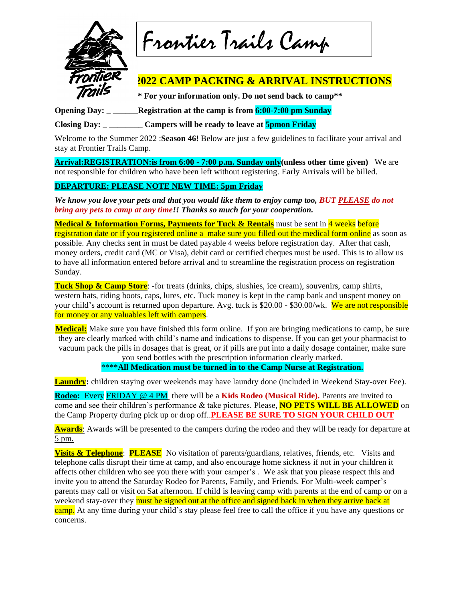

Frontier Trails Camp

# **2022 CAMP PACKING & ARRIVAL INSTRUCTIONS**

**\*\* For your information only. Do not send back to camp\*\*** 

**Opening Day: \_ \_\_\_\_\_\_Registration at the camp is from 6:00-7:00 pm Sunday**

**Closing Day: \_ \_\_\_\_\_\_\_\_ Campers will be ready to leave at 5pmon Friday**

Welcome to the Summer 2022 :**Season 46**! Below are just a few guidelines to facilitate your arrival and stay at Frontier Trails Camp.

**Arrival:REGISTRATION:is from 6:00 - 7:00 p.m. Sunday only(unless other time given)** We are not responsible for children who have been left without registering. Early Arrivals will be billed.

### **DEPARTURE: PLEASE NOTE NEW TIME: 5pm Friday**

*We know you love your pets and that you would like them to enjoy camp too, BUT PLEASE do not bring any pets to camp at any time!! Thanks so much for your cooperation.*

**Medical & Information Forms, Payments for Tuck & Rentals** must be sent in 4 weeks before registration date or if you registered online a make sure you filled out the medical form online as soon as possible. Any checks sent in must be dated payable 4 weeks before registration day. After that cash, money orders, credit card (MC or Visa), debit card or certified cheques must be used. This is to allow us to have all information entered before arrival and to streamline the registration process on registration Sunday.

**Tuck Shop & Camp Store**: -for treats (drinks, chips, slushies, ice cream), souvenirs, camp shirts, western hats, riding boots, caps, lures, etc. Tuck money is kept in the camp bank and unspent money on your child's account is returned upon departure. Avg. tuck is \$20.00 - \$30.00/wk. We are not responsible for money or any valuables left with campers.

**Medical:** Make sure you have finished this form online. If you are bringing medications to camp, be sure they are clearly marked with child's name and indications to dispense. If you can get your pharmacist to vacuum pack the pills in dosages that is great, or if pills are put into a daily dosage container, make sure you send bottles with the prescription information clearly marked.

\*\*\*\***All Medication must be turned in to the Camp Nurse at Registration.**

**Laundry:** children staying over weekends may have laundry done (included in Weekend Stay-over Fee).

**Rodeo:** Every FRIDAY @ 4 PM there will be a **Kids Rodeo (Musical Ride).** Parents are invited to come and see their children's performance & take pictures. Please, **NO PETS WILL BE ALLOWED** on the Camp Property during pick up or drop off..**PLEASE BE SURE TO SIGN YOUR CHILD OUT**

**Awards**: Awards will be presented to the campers during the rodeo and they will be <u>ready for departure at</u> 5 pm.

**Visits & Telephone**: **PLEASE** No visitation of parents/guardians, relatives, friends, etc. Visits and telephone calls disrupt their time at camp, and also encourage home sickness if not in your children it affects other children who see you there with your camper's . We ask that you please respect this and invite you to attend the Saturday Rodeo for Parents, Family, and Friends. For Multi-week camper's parents may call or visit on Sat afternoon. If child is leaving camp with parents at the end of camp or on a weekend stay-over they must be signed out at the office and signed back in when they arrive back at camp. At any time during your child's stay please feel free to call the office if you have any questions or concerns.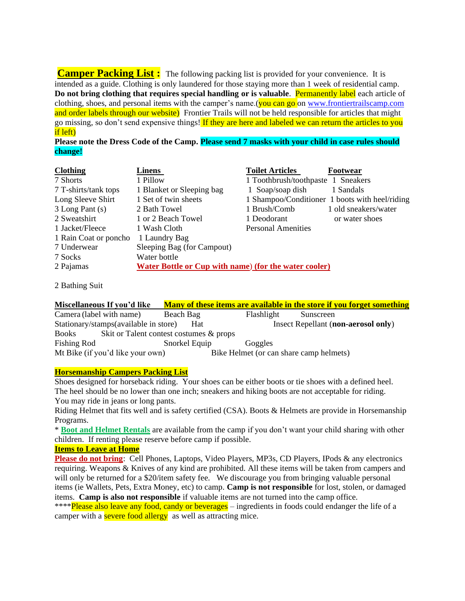**Camper Packing List :** The following packing list is provided for your convenience. It is intended as a guide. Clothing is only laundered for those staying more than 1 week of residential camp. **Do** not bring clothing that requires special handling or is valuable. Permanently label each article of clothing, shoes, and personal items with the camper's name. (you can go on [www.frontiertrailscamp.com](http://www.frontiertrailscamp.com/) and order labels through our website) Frontier Trails will not be held responsible for articles that might go missing, so don't send expensive things! If they are here and labeled we can return the articles to you if left)

### **Please note the Dress Code of the Camp. Please send 7 masks with your child in case rules should change!**

| <b>Clothing</b>       | Linens                                                       | <b>Toilet Articles</b>             | <b>Footwear</b>                                |
|-----------------------|--------------------------------------------------------------|------------------------------------|------------------------------------------------|
| 7 Shorts              | 1 Pillow                                                     | 1 Toothbrush/toothpaste 1 Sneakers |                                                |
| 7 T-shirts/tank tops  | 1 Blanket or Sleeping bag                                    | 1 Soap/soap dish                   | 1 Sandals                                      |
| Long Sleeve Shirt     | 1 Set of twin sheets                                         |                                    | 1 Shampoo/Conditioner 1 boots with heel/riding |
| 3 Long Pant (s)       | 2 Bath Towel                                                 | 1 Brush/Comb                       | 1 old sneakers/water                           |
| 2 Sweatshirt          | 1 or 2 Beach Towel                                           | 1 Deodorant                        | or water shoes                                 |
| 1 Jacket/Fleece       | 1 Wash Cloth                                                 | <b>Personal Amenities</b>          |                                                |
| 1 Rain Coat or poncho | 1 Laundry Bag                                                |                                    |                                                |
| 7 Underwear           | Sleeping Bag (for Campout)                                   |                                    |                                                |
| 7 Socks               | Water bottle                                                 |                                    |                                                |
| 2 Pajamas             | <b>Water Bottle or Cup with name) (for the water cooler)</b> |                                    |                                                |

2 Bathing Suit

| Miscellaneous If you'd like           |                                         |            | <b>Many of these items are available in the store if you forget something</b> |
|---------------------------------------|-----------------------------------------|------------|-------------------------------------------------------------------------------|
| Camera (label with name)              | Beach Bag                               | Flashlight | Sunscreen                                                                     |
| Stationary/stamps(available in store) | Hat                                     |            | Insect Repellant (non-aerosol only)                                           |
| Books                                 | Skit or Talent contest costumes & props |            |                                                                               |
| Fishing Rod                           | Snorkel Equip                           | Goggles    |                                                                               |
| Mt Bike (if you'd like your own)      |                                         |            | Bike Helmet (or can share camp helmets)                                       |

### **Horsemanship Campers Packing List**

Shoes designed for horseback riding. Your shoes can be either boots or tie shoes with a defined heel. The heel should be no lower than one inch; sneakers and hiking boots are not acceptable for riding. You may ride in jeans or long pants.

Riding Helmet that fits well and is safety certified (CSA). Boots & Helmets are provide in Horsemanship Programs.

\* **Boot and Helmet Rentals** are available from the camp if you don't want your child sharing with other children. If renting please reserve before camp if possible.

#### **Items to Leave at Home**

**Please do not bring**: Cell Phones, Laptops, Video Players, MP3s, CD Players, IPods & any electronics requiring. Weapons & Knives of any kind are prohibited. All these items will be taken from campers and will only be returned for a \$20/item safety fee. We discourage you from bringing valuable personal items (ie Wallets, Pets, Extra Money, etc) to camp. **Camp is not responsible** for lost, stolen, or damaged items. **Camp is also not responsible** if valuable items are not turned into the camp office.

\*\*\*\*Please also leave any food, candy or beverages – ingredients in foods could endanger the life of a camper with a **severe food allergy** as well as attracting mice.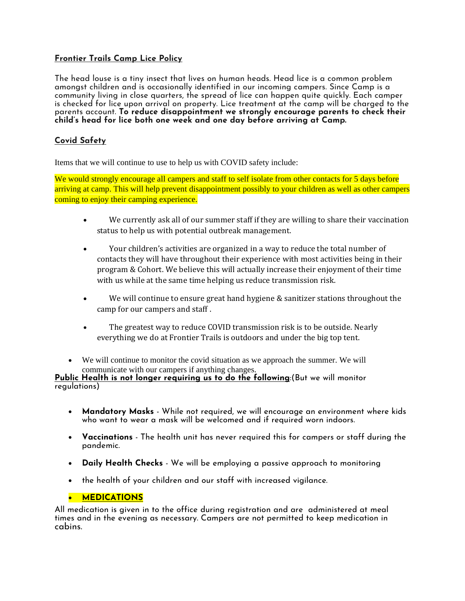## **Frontier Trails Camp Lice Policy**

The head louse is a tiny insect that lives on human heads. Head lice is a common problem amongst children and is occasionally identified in our incoming campers. Since Camp is a community living in close quarters, the spread of lice can happen quite quickly. Each camper is checked for lice upon arrival on property. Lice treatment at the camp will be charged to the parents account. **To reduce disappointment we strongly encourage parents to check their child's head for lice both one week and one day before arriving at Camp.**

## **Covid Safety**

Items that we will continue to use to help us with COVID safety include:

We would strongly encourage all campers and staff to self isolate from other contacts for 5 days before arriving at camp. This will help prevent disappointment possibly to your children as well as other campers coming to enjoy their camping experience.

- We currently ask all of our summer staff if they are willing to share their vaccination status to help us with potential outbreak management.
- Your children's activities are organized in a way to reduce the total number of contacts they will have throughout their experience with most activities being in their program & Cohort. We believe this will actually increase their enjoyment of their time with us while at the same time helping us reduce transmission risk.
- We will continue to ensure great hand hygiene & sanitizer stations throughout the camp for our campers and staff .
- The greatest way to reduce COVID transmission risk is to be outside. Nearly everything we do at Frontier Trails is outdoors and under the big top tent.
- We will continue to monitor the covid situation as we approach the summer. We will communicate with our campers if anything changes.

**Public Health is not longer requiring us to do the following**:(But we will monitor regulations)

- **Mandatory Masks** While not required, we will encourage an environment where kids who want to wear a mask will be welcomed and if required worn indoors.
- **Vaccinations** The health unit has never required this for campers or staff during the pandemic.
- **Daily Health Checks** We will be employing a passive approach to monitoring
- the health of your children and our staff with increased vigilance.

### • **MEDICATIONS**

All medication is given in to the office during registration and are administered at meal times and in the evening as necessary. Campers are not permitted to keep medication in cabins.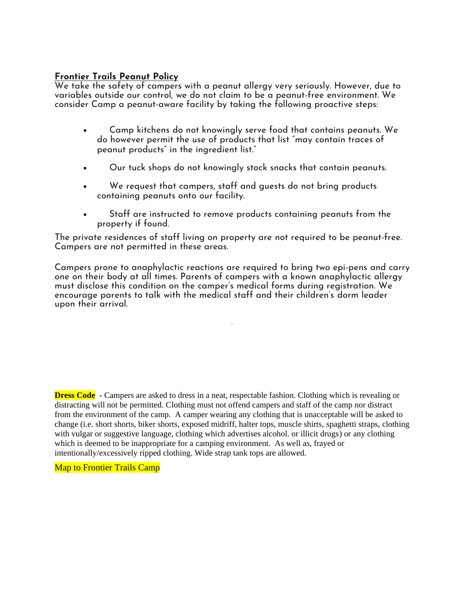# **Frontier Trails Peanut Policy**

We take the safety of campers with a peanut allergy very seriously. However, due to variables outside our control, we do not claim to be a peanut-free environment. We consider Camp a peanut-aware facility by taking the following proactive steps:

- Camp kitchens do not knowingly serve food that contains peanuts. We do however permit the use of products that list "may contain traces of peanut products" in the ingredient list."
- Our tuck shops do not knowingly stock snacks that contain peanuts.
- We request that campers, staff and guests do not bring products containing peanuts onto our facility.
- Staff are instructed to remove products containing peanuts from the property if found.

The private residences of staff living on property are not required to be peanut-free. Campers are not permitted in these areas.

Campers prone to anaphylactic reactions are required to bring two epi-pens and carry one on their body at all times. Parents of campers with a known anaphylactic allergy must disclose this condition on the camper's medical forms during registration. We encourage parents to talk with the medical staff and their children's dorm leader upon their arrival.

**Dress Code** - Campers are asked to dress in a neat, respectable fashion. Clothing which is revealing or distracting will not be permitted. Clothing must not offend campers and staff of the camp nor distract from the environment of the camp. A camper wearing any clothing that is unacceptable will be asked to change (i.e. short shorts, biker shorts, exposed midriff, halter tops, muscle shirts, spaghetti straps, clothing with vulgar or suggestive language, clothing which advertises alcohol. or illicit drugs) or any clothing which is deemed to be inappropriate for a camping environment. As well as, frayed or intentionally/excessively ripped clothing. Wide strap tank tops are allowed.

Map to Frontier Trails Camp